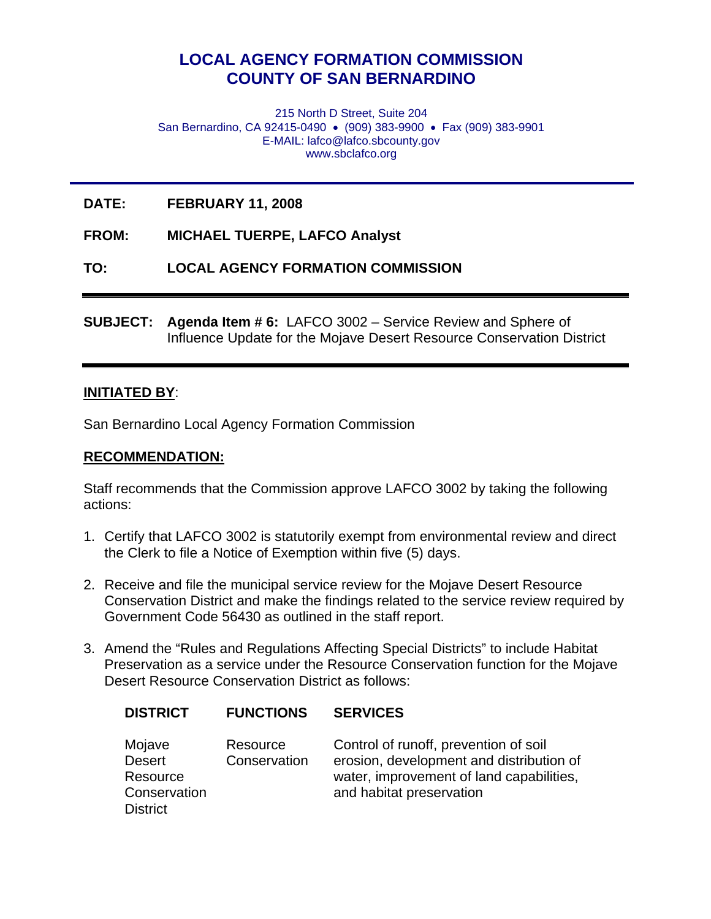# **LOCAL AGENCY FORMATION COMMISSION COUNTY OF SAN BERNARDINO**

215 North D Street, Suite 204 San Bernardino, CA 92415-0490 • (909) 383-9900 • Fax (909) 383-9901 E-MAIL: lafco@lafco.sbcounty.gov www.sbclafco.org

**DATE: FEBRUARY 11, 2008** 

**FROM: MICHAEL TUERPE, LAFCO Analyst** 

**TO: LOCAL AGENCY FORMATION COMMISSION** 

**SUBJECT: Agenda Item # 6:** LAFCO 3002 – Service Review and Sphere of Influence Update for the Mojave Desert Resource Conservation District

#### **INITIATED BY**:

San Bernardino Local Agency Formation Commission

#### **RECOMMENDATION:**

Staff recommends that the Commission approve LAFCO 3002 by taking the following actions:

- 1. Certify that LAFCO 3002 is statutorily exempt from environmental review and direct the Clerk to file a Notice of Exemption within five (5) days.
- 2. Receive and file the municipal service review for the Mojave Desert Resource Conservation District and make the findings related to the service review required by Government Code 56430 as outlined in the staff report.
- 3. Amend the "Rules and Regulations Affecting Special Districts" to include Habitat Preservation as a service under the Resource Conservation function for the Mojave Desert Resource Conservation District as follows:

| <b>DISTRICT</b>                                                        | <b>FUNCTIONS</b>         | <b>SERVICES</b>                                                                                                                                           |
|------------------------------------------------------------------------|--------------------------|-----------------------------------------------------------------------------------------------------------------------------------------------------------|
| Mojave<br><b>Desert</b><br>Resource<br>Conservation<br><b>District</b> | Resource<br>Conservation | Control of runoff, prevention of soil<br>erosion, development and distribution of<br>water, improvement of land capabilities,<br>and habitat preservation |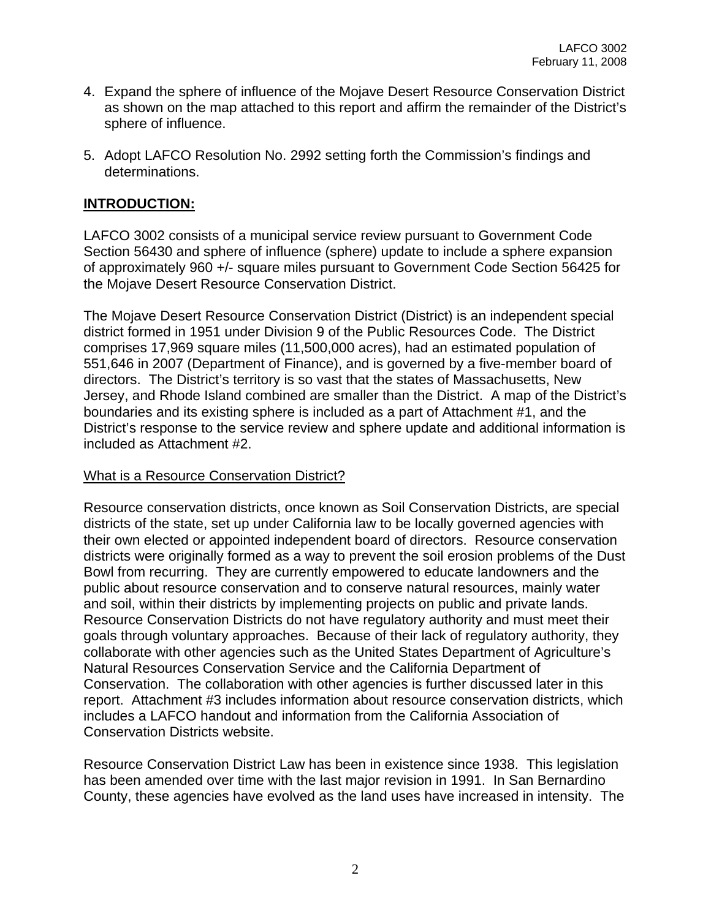- 4. Expand the sphere of influence of the Mojave Desert Resource Conservation District as shown on the map attached to this report and affirm the remainder of the District's sphere of influence.
- 5. Adopt LAFCO Resolution No. 2992 setting forth the Commission's findings and determinations.

## **INTRODUCTION:**

LAFCO 3002 consists of a municipal service review pursuant to Government Code Section 56430 and sphere of influence (sphere) update to include a sphere expansion of approximately 960 +/- square miles pursuant to Government Code Section 56425 for the Mojave Desert Resource Conservation District.

The Mojave Desert Resource Conservation District (District) is an independent special district formed in 1951 under Division 9 of the Public Resources Code. The District comprises 17,969 square miles (11,500,000 acres), had an estimated population of 551,646 in 2007 (Department of Finance), and is governed by a five-member board of directors. The District's territory is so vast that the states of Massachusetts, New Jersey, and Rhode Island combined are smaller than the District. A map of the District's boundaries and its existing sphere is included as a part of Attachment #1, and the District's response to the service review and sphere update and additional information is included as Attachment #2.

## What is a Resource Conservation District?

Resource conservation districts, once known as Soil Conservation Districts, are special districts of the state, set up under California law to be locally governed agencies with their own elected or appointed independent board of directors. Resource conservation districts were originally formed as a way to prevent the soil erosion problems of the Dust Bowl from recurring. They are currently empowered to educate landowners and the public about resource conservation and to conserve natural resources, mainly water and soil, within their districts by implementing projects on public and private lands. Resource Conservation Districts do not have regulatory authority and must meet their goals through voluntary approaches. Because of their lack of regulatory authority, they collaborate with other agencies such as the United States Department of Agriculture's Natural Resources Conservation Service and the California Department of Conservation. The collaboration with other agencies is further discussed later in this report. Attachment #3 includes information about resource conservation districts, which includes a LAFCO handout and information from the California Association of Conservation Districts website.

Resource Conservation District Law has been in existence since 1938. This legislation has been amended over time with the last major revision in 1991. In San Bernardino County, these agencies have evolved as the land uses have increased in intensity. The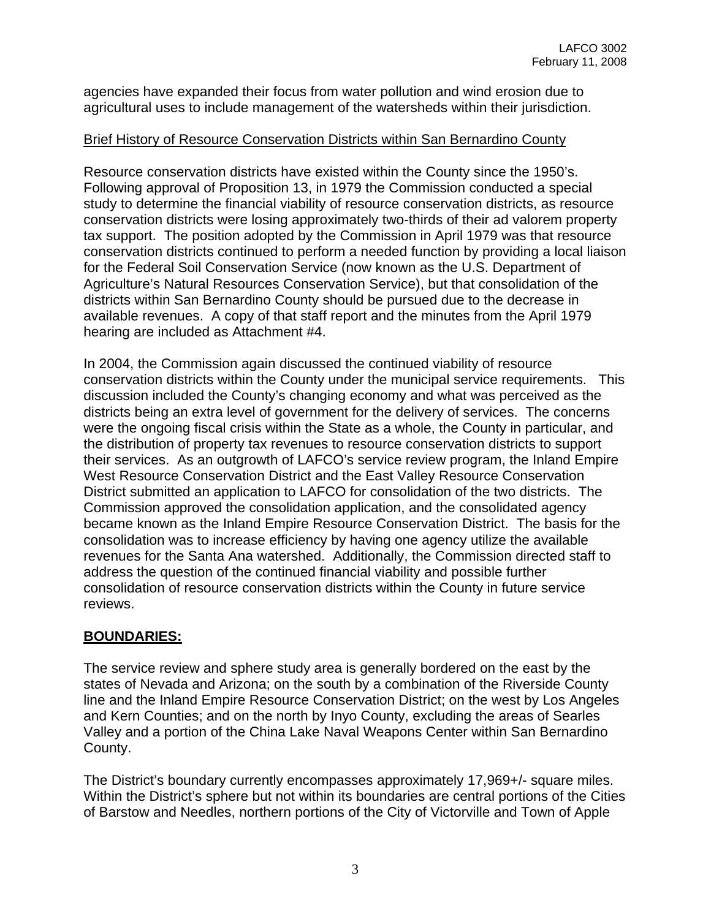agencies have expanded their focus from water pollution and wind erosion due to agricultural uses to include management of the watersheds within their jurisdiction.

## Brief History of Resource Conservation Districts within San Bernardino County

Resource conservation districts have existed within the County since the 1950's. Following approval of Proposition 13, in 1979 the Commission conducted a special study to determine the financial viability of resource conservation districts, as resource conservation districts were losing approximately two-thirds of their ad valorem property tax support. The position adopted by the Commission in April 1979 was that resource conservation districts continued to perform a needed function by providing a local liaison for the Federal Soil Conservation Service (now known as the U.S. Department of Agriculture's Natural Resources Conservation Service), but that consolidation of the districts within San Bernardino County should be pursued due to the decrease in available revenues. A copy of that staff report and the minutes from the April 1979 hearing are included as Attachment #4.

In 2004, the Commission again discussed the continued viability of resource conservation districts within the County under the municipal service requirements. This discussion included the County's changing economy and what was perceived as the districts being an extra level of government for the delivery of services. The concerns were the ongoing fiscal crisis within the State as a whole, the County in particular, and the distribution of property tax revenues to resource conservation districts to support their services. As an outgrowth of LAFCO's service review program, the Inland Empire West Resource Conservation District and the East Valley Resource Conservation District submitted an application to LAFCO for consolidation of the two districts. The Commission approved the consolidation application, and the consolidated agency became known as the Inland Empire Resource Conservation District. The basis for the consolidation was to increase efficiency by having one agency utilize the available revenues for the Santa Ana watershed. Additionally, the Commission directed staff to address the question of the continued financial viability and possible further consolidation of resource conservation districts within the County in future service reviews.

## **BOUNDARIES:**

The service review and sphere study area is generally bordered on the east by the states of Nevada and Arizona; on the south by a combination of the Riverside County line and the Inland Empire Resource Conservation District; on the west by Los Angeles and Kern Counties; and on the north by Inyo County, excluding the areas of Searles Valley and a portion of the China Lake Naval Weapons Center within San Bernardino County.

The District's boundary currently encompasses approximately 17,969+/- square miles. Within the District's sphere but not within its boundaries are central portions of the Cities of Barstow and Needles, northern portions of the City of Victorville and Town of Apple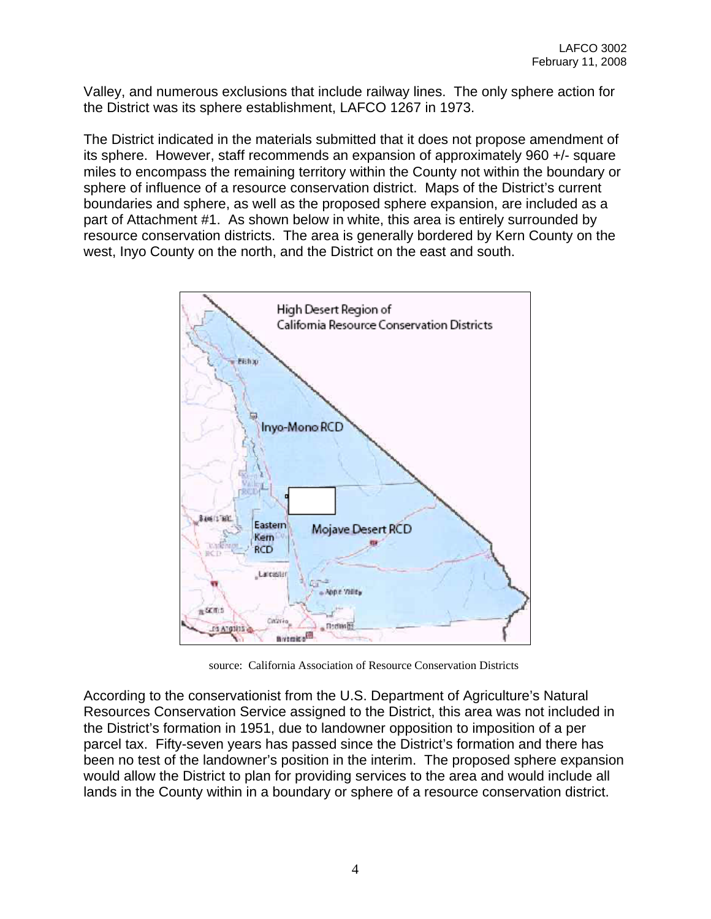Valley, and numerous exclusions that include railway lines. The only sphere action for the District was its sphere establishment, LAFCO 1267 in 1973.

The District indicated in the materials submitted that it does not propose amendment of its sphere. However, staff recommends an expansion of approximately 960 +/- square miles to encompass the remaining territory within the County not within the boundary or sphere of influence of a resource conservation district. Maps of the District's current boundaries and sphere, as well as the proposed sphere expansion, are included as a part of Attachment #1. As shown below in white, this area is entirely surrounded by resource conservation districts. The area is generally bordered by Kern County on the west, Inyo County on the north, and the District on the east and south.



source: California Association of Resource Conservation Districts

According to the conservationist from the U.S. Department of Agriculture's Natural Resources Conservation Service assigned to the District, this area was not included in the District's formation in 1951, due to landowner opposition to imposition of a per parcel tax. Fifty-seven years has passed since the District's formation and there has been no test of the landowner's position in the interim. The proposed sphere expansion would allow the District to plan for providing services to the area and would include all lands in the County within in a boundary or sphere of a resource conservation district.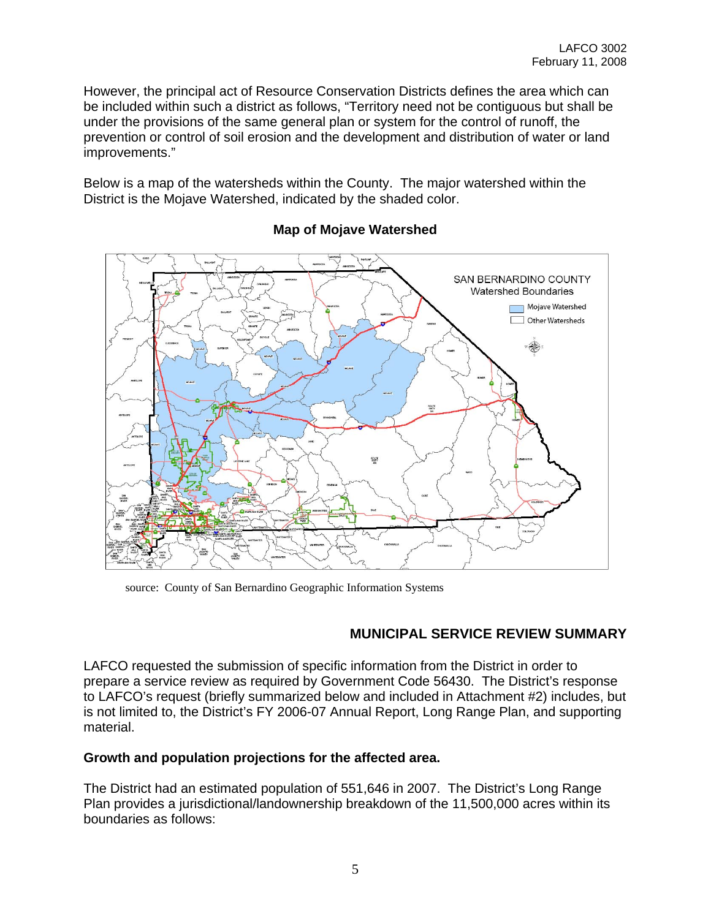However, the principal act of Resource Conservation Districts defines the area which can be included within such a district as follows, "Territory need not be contiguous but shall be under the provisions of the same general plan or system for the control of runoff, the prevention or control of soil erosion and the development and distribution of water or land improvements."

Below is a map of the watersheds within the County. The major watershed within the District is the Mojave Watershed, indicated by the shaded color.



## **Map of Mojave Watershed**

source: County of San Bernardino Geographic Information Systems

## **MUNICIPAL SERVICE REVIEW SUMMARY**

LAFCO requested the submission of specific information from the District in order to prepare a service review as required by Government Code 56430. The District's response to LAFCO's request (briefly summarized below and included in Attachment #2) includes, but is not limited to, the District's FY 2006-07 Annual Report, Long Range Plan, and supporting material.

## **Growth and population projections for the affected area.**

The District had an estimated population of 551,646 in 2007. The District's Long Range Plan provides a jurisdictional/landownership breakdown of the 11,500,000 acres within its boundaries as follows: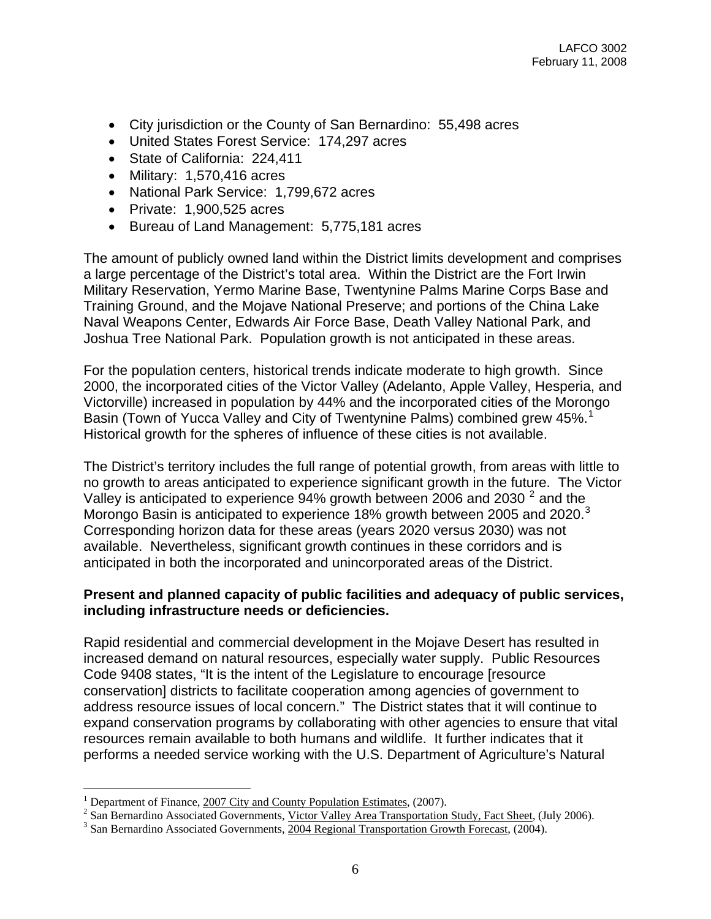- City jurisdiction or the County of San Bernardino: 55,498 acres
- United States Forest Service: 174,297 acres
- State of California: 224,411
- Military: 1,570,416 acres
- National Park Service: 1,799,672 acres
- Private: 1,900,525 acres
- Bureau of Land Management: 5,775,181 acres

The amount of publicly owned land within the District limits development and comprises a large percentage of the District's total area. Within the District are the Fort Irwin Military Reservation, Yermo Marine Base, Twentynine Palms Marine Corps Base and Training Ground, and the Mojave National Preserve; and portions of the China Lake Naval Weapons Center, Edwards Air Force Base, Death Valley National Park, and Joshua Tree National Park. Population growth is not anticipated in these areas.

For the population centers, historical trends indicate moderate to high growth. Since 2000, the incorporated cities of the Victor Valley (Adelanto, Apple Valley, Hesperia, and Victorville) increased in population by 44% and the incorporated cities of the Morongo Basin (Town of Yucca Valley and City of Twentynine Palms) combined grew 45%.<sup>[1](#page-5-0)</sup> Historical growth for the spheres of influence of these cities is not available.

The District's territory includes the full range of potential growth, from areas with little to no growth to areas anticipated to experience significant growth in the future. The Victor Valley is anticipated to experience  $94\%$  growth between [2](#page-5-1)006 and 2030  $^2$  and the Morongo Basin is anticipated to experience 18% growth between 2005 and 2020. $3$ Corresponding horizon data for these areas (years 2020 versus 2030) was not available. Nevertheless, significant growth continues in these corridors and is anticipated in both the incorporated and unincorporated areas of the District.

#### **Present and planned capacity of public facilities and adequacy of public services, including infrastructure needs or deficiencies.**

Rapid residential and commercial development in the Mojave Desert has resulted in increased demand on natural resources, especially water supply. Public Resources Code 9408 states, "It is the intent of the Legislature to encourage [resource conservation] districts to facilitate cooperation among agencies of government to address resource issues of local concern." The District states that it will continue to expand conservation programs by collaborating with other agencies to ensure that vital resources remain available to both humans and wildlife. It further indicates that it performs a needed service working with the U.S. Department of Agriculture's Natural

1

<span id="page-5-0"></span><sup>&</sup>lt;sup>1</sup> Department of Finance,  $\frac{2007 \text{ City and County Population Estimates}, (2007)}{2 \text{ Son Bernstein Association}}$ 

<span id="page-5-1"></span><sup>&</sup>lt;sup>2</sup> San Bernardino Associated Governments, Victor Valley Area Transportation Study, Fact Sheet, (July 2006).

<span id="page-5-2"></span> $3$  San Bernardino Associated Governments,  $2004$  Regional Transportation Growth Forecast, (2004).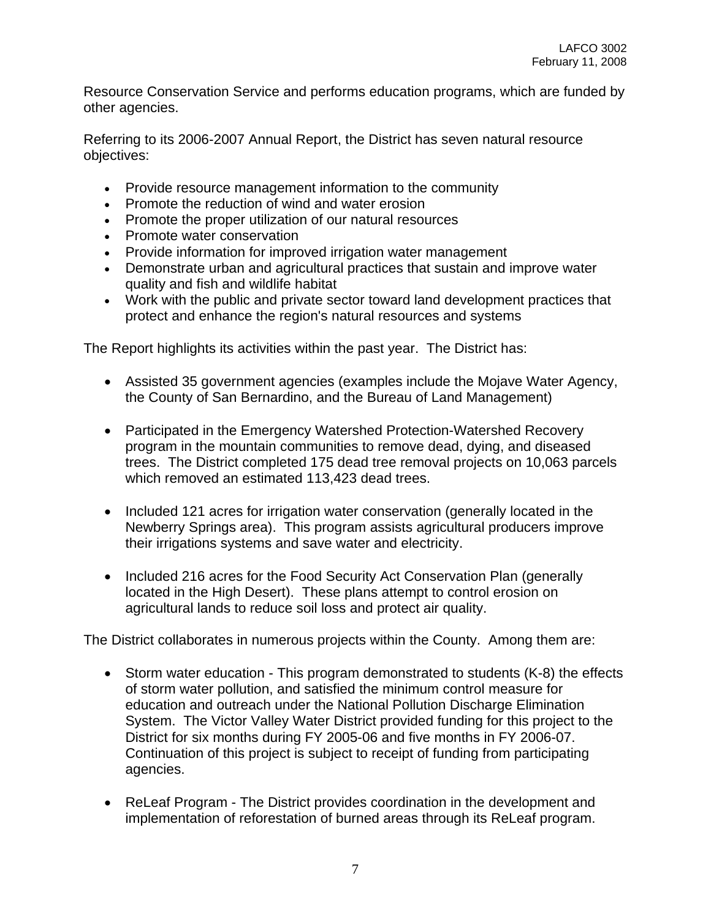Resource Conservation Service and performs education programs, which are funded by other agencies.

Referring to its 2006-2007 Annual Report, the District has seven natural resource objectives:

- Provide resource management information to the community
- Promote the reduction of wind and water erosion
- Promote the proper utilization of our natural resources
- Promote water conservation
- Provide information for improved irrigation water management
- Demonstrate urban and agricultural practices that sustain and improve water quality and fish and wildlife habitat
- Work with the public and private sector toward land development practices that protect and enhance the region's natural resources and systems

The Report highlights its activities within the past year. The District has:

- Assisted 35 government agencies (examples include the Mojave Water Agency, the County of San Bernardino, and the Bureau of Land Management)
- Participated in the Emergency Watershed Protection-Watershed Recovery program in the mountain communities to remove dead, dying, and diseased trees. The District completed 175 dead tree removal projects on 10,063 parcels which removed an estimated 113,423 dead trees.
- Included 121 acres for irrigation water conservation (generally located in the Newberry Springs area). This program assists agricultural producers improve their irrigations systems and save water and electricity.
- Included 216 acres for the Food Security Act Conservation Plan (generally located in the High Desert). These plans attempt to control erosion on agricultural lands to reduce soil loss and protect air quality.

The District collaborates in numerous projects within the County. Among them are:

- Storm water education This program demonstrated to students (K-8) the effects of storm water pollution, and satisfied the minimum control measure for education and outreach under the National Pollution Discharge Elimination System. The Victor Valley Water District provided funding for this project to the District for six months during FY 2005-06 and five months in FY 2006-07. Continuation of this project is subject to receipt of funding from participating agencies.
- ReLeaf Program The District provides coordination in the development and implementation of reforestation of burned areas through its ReLeaf program.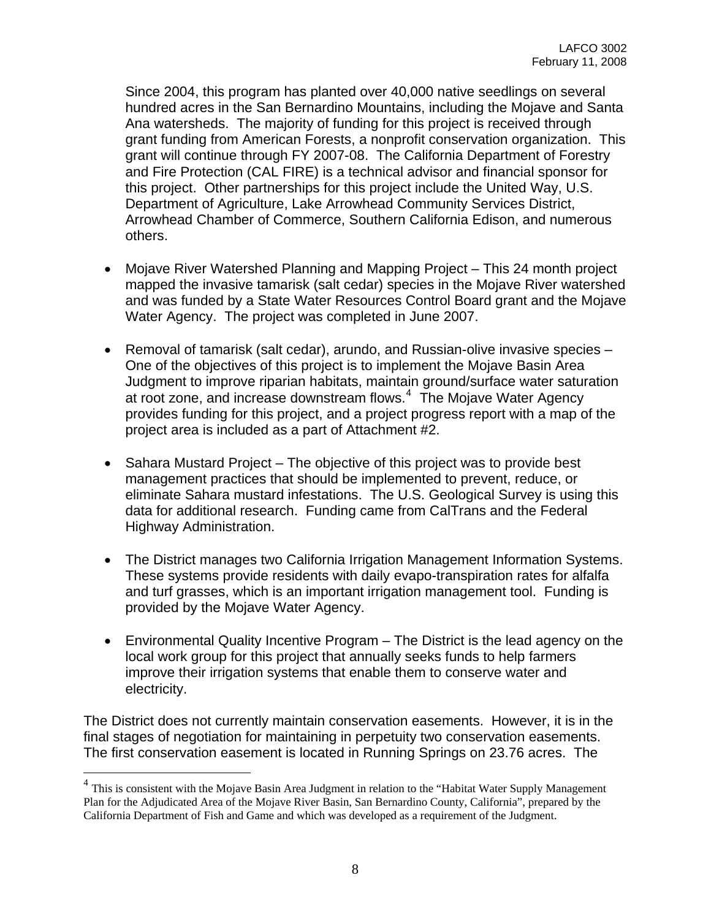Since 2004, this program has planted over 40,000 native seedlings on several hundred acres in the San Bernardino Mountains, including the Mojave and Santa Ana watersheds. The majority of funding for this project is received through grant funding from American Forests, a nonprofit conservation organization. This grant will continue through FY 2007-08. The California Department of Forestry and Fire Protection (CAL FIRE) is a technical advisor and financial sponsor for this project. Other partnerships for this project include the United Way, U.S. Department of Agriculture, Lake Arrowhead Community Services District, Arrowhead Chamber of Commerce, Southern California Edison, and numerous others.

- Mojave River Watershed Planning and Mapping Project This 24 month project mapped the invasive tamarisk (salt cedar) species in the Mojave River watershed and was funded by a State Water Resources Control Board grant and the Mojave Water Agency. The project was completed in June 2007.
- Removal of tamarisk (salt cedar), arundo, and Russian-olive invasive species One of the objectives of this project is to implement the Mojave Basin Area Judgment to improve riparian habitats, maintain ground/surface water saturation at root zone, and increase downstream flows.<sup>[4](#page-7-0)</sup> The Mojave Water Agency provides funding for this project, and a project progress report with a map of the project area is included as a part of Attachment #2.
- Sahara Mustard Project The objective of this project was to provide best management practices that should be implemented to prevent, reduce, or eliminate Sahara mustard infestations. The U.S. Geological Survey is using this data for additional research. Funding came from CalTrans and the Federal Highway Administration.
- The District manages two California Irrigation Management Information Systems. These systems provide residents with daily evapo-transpiration rates for alfalfa and turf grasses, which is an important irrigation management tool. Funding is provided by the Mojave Water Agency.
- Environmental Quality Incentive Program The District is the lead agency on the local work group for this project that annually seeks funds to help farmers improve their irrigation systems that enable them to conserve water and electricity.

The District does not currently maintain conservation easements. However, it is in the final stages of negotiation for maintaining in perpetuity two conservation easements. The first conservation easement is located in Running Springs on 23.76 acres. The

 $\overline{a}$ 

<span id="page-7-0"></span><sup>&</sup>lt;sup>4</sup> This is consistent with the Mojave Basin Area Judgment in relation to the "Habitat Water Supply Management" Plan for the Adjudicated Area of the Mojave River Basin, San Bernardino County, California", prepared by the California Department of Fish and Game and which was developed as a requirement of the Judgment.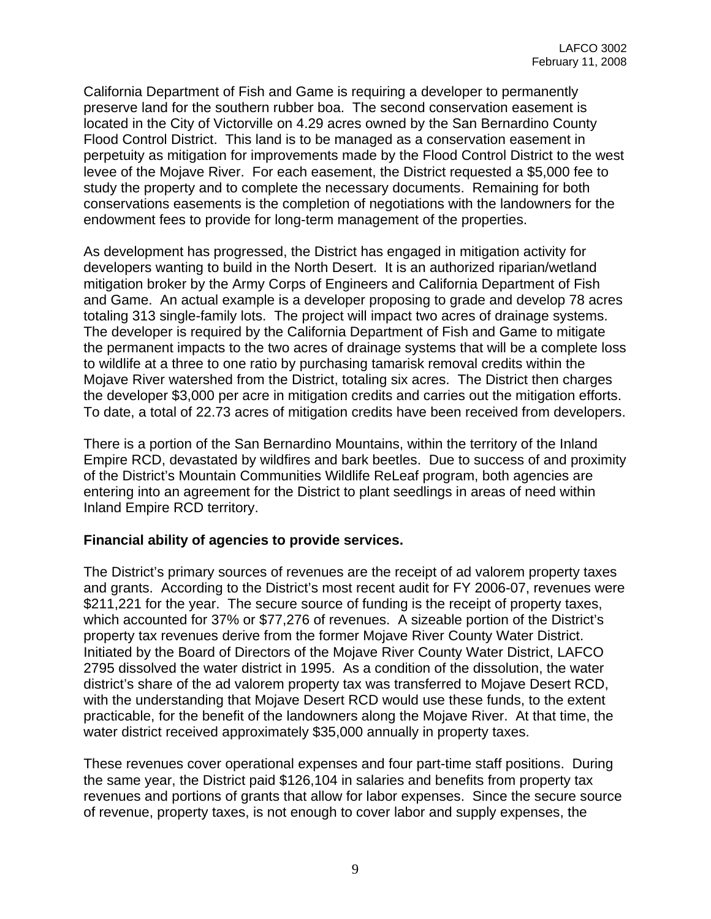California Department of Fish and Game is requiring a developer to permanently preserve land for the southern rubber boa. The second conservation easement is located in the City of Victorville on 4.29 acres owned by the San Bernardino County Flood Control District. This land is to be managed as a conservation easement in perpetuity as mitigation for improvements made by the Flood Control District to the west levee of the Mojave River. For each easement, the District requested a \$5,000 fee to study the property and to complete the necessary documents. Remaining for both conservations easements is the completion of negotiations with the landowners for the endowment fees to provide for long-term management of the properties.

As development has progressed, the District has engaged in mitigation activity for developers wanting to build in the North Desert. It is an authorized riparian/wetland mitigation broker by the Army Corps of Engineers and California Department of Fish and Game. An actual example is a developer proposing to grade and develop 78 acres totaling 313 single-family lots. The project will impact two acres of drainage systems. The developer is required by the California Department of Fish and Game to mitigate the permanent impacts to the two acres of drainage systems that will be a complete loss to wildlife at a three to one ratio by purchasing tamarisk removal credits within the Mojave River watershed from the District, totaling six acres. The District then charges the developer \$3,000 per acre in mitigation credits and carries out the mitigation efforts. To date, a total of 22.73 acres of mitigation credits have been received from developers.

There is a portion of the San Bernardino Mountains, within the territory of the Inland Empire RCD, devastated by wildfires and bark beetles. Due to success of and proximity of the District's Mountain Communities Wildlife ReLeaf program, both agencies are entering into an agreement for the District to plant seedlings in areas of need within Inland Empire RCD territory.

## **Financial ability of agencies to provide services.**

The District's primary sources of revenues are the receipt of ad valorem property taxes and grants. According to the District's most recent audit for FY 2006-07, revenues were \$211,221 for the year. The secure source of funding is the receipt of property taxes, which accounted for 37% or \$77,276 of revenues. A sizeable portion of the District's property tax revenues derive from the former Mojave River County Water District. Initiated by the Board of Directors of the Mojave River County Water District, LAFCO 2795 dissolved the water district in 1995. As a condition of the dissolution, the water district's share of the ad valorem property tax was transferred to Mojave Desert RCD, with the understanding that Mojave Desert RCD would use these funds, to the extent practicable, for the benefit of the landowners along the Mojave River. At that time, the water district received approximately \$35,000 annually in property taxes.

These revenues cover operational expenses and four part-time staff positions. During the same year, the District paid \$126,104 in salaries and benefits from property tax revenues and portions of grants that allow for labor expenses. Since the secure source of revenue, property taxes, is not enough to cover labor and supply expenses, the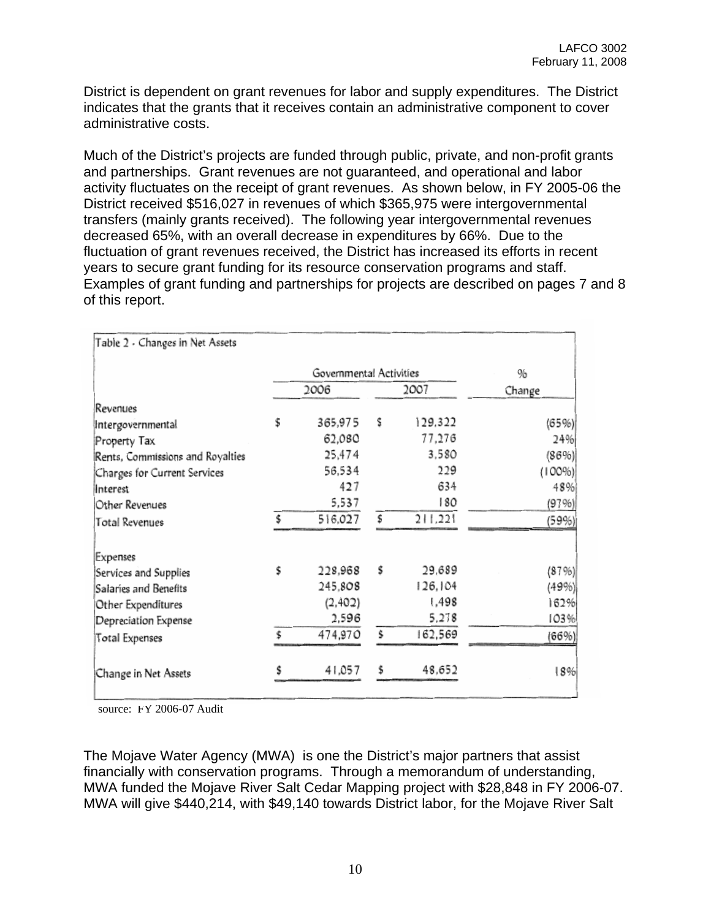District is dependent on grant revenues for labor and supply expenditures. The District indicates that the grants that it receives contain an administrative component to cover administrative costs.

Much of the District's projects are funded through public, private, and non-profit grants and partnerships. Grant revenues are not guaranteed, and operational and labor activity fluctuates on the receipt of grant revenues. As shown below, in FY 2005-06 the District received \$516,027 in revenues of which \$365,975 were intergovernmental transfers (mainly grants received). The following year intergovernmental revenues decreased 65%, with an overall decrease in expenditures by 66%. Due to the fluctuation of grant revenues received, the District has increased its efforts in recent years to secure grant funding for its resource conservation programs and staff. Examples of grant funding and partnerships for projects are described on pages 7 and 8 of this report.

| Table 2 - Changes in Net Assets  |                         |         |      |         |        |
|----------------------------------|-------------------------|---------|------|---------|--------|
|                                  | Governmental Activities |         |      |         | %      |
|                                  | 2006                    |         | 2007 |         | Change |
| Revenues                         |                         |         |      |         |        |
| Intergovernmental                | \$                      | 365,975 | \$   | 129,322 | (65%)  |
| Property Tax                     |                         | 62,080  |      | 77,276  | 24%    |
| Rents, Commissions and Royalties |                         | 25,474  |      | 3.580   | (86%)  |
| Charges for Current Services     |                         | 56,534  |      | 229     | (100%  |
| <b>Interest</b>                  |                         | 427     |      | 634     | 48%    |
| Other Revenues                   |                         | 5,537   |      | 180     | (97%)  |
| <b>Total Revenues</b>            | Ŝ                       | 516.027 | \$   | 211,221 | (59%)  |
| Expenses                         |                         |         |      |         |        |
| Services and Supplies            | \$                      | 228,968 | \$   | 29,689  | (87%)  |
| Salaries and Benefits            |                         | 245,808 |      | 126,104 | (49%)  |
| Other Expenditures               |                         | (2,402) |      | 1,498   | 162%   |
| Depreciation Expense             |                         | 2,596   |      | 5,278   | 103%   |
| Total Expenses                   | Ś                       | 474,970 | \$   | 162,569 | (66%)  |
| Change in Net Assets             |                         | 41,057  | \$   | 48.652  | 18%    |

source: FY 2006-07 Audit

The Mojave Water Agency (MWA) is one the District's major partners that assist financially with conservation programs. Through a memorandum of understanding, MWA funded the Mojave River Salt Cedar Mapping project with \$28,848 in FY 2006-07. MWA will give \$440,214, with \$49,140 towards District labor, for the Mojave River Salt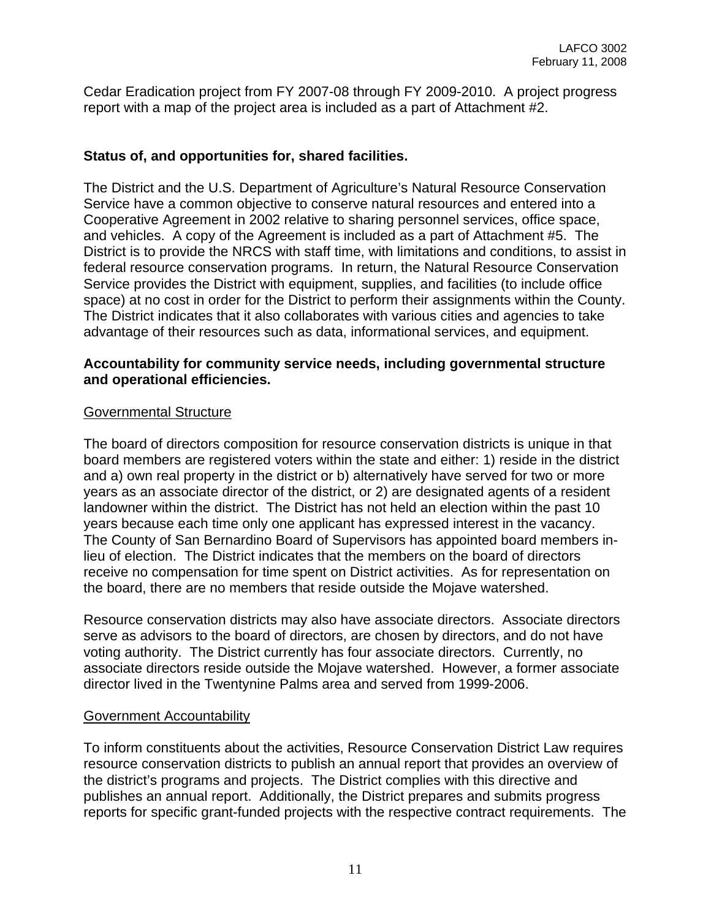Cedar Eradication project from FY 2007-08 through FY 2009-2010. A project progress report with a map of the project area is included as a part of Attachment #2.

## **Status of, and opportunities for, shared facilities.**

The District and the U.S. Department of Agriculture's Natural Resource Conservation Service have a common objective to conserve natural resources and entered into a Cooperative Agreement in 2002 relative to sharing personnel services, office space, and vehicles. A copy of the Agreement is included as a part of Attachment #5. The District is to provide the NRCS with staff time, with limitations and conditions, to assist in federal resource conservation programs. In return, the Natural Resource Conservation Service provides the District with equipment, supplies, and facilities (to include office space) at no cost in order for the District to perform their assignments within the County. The District indicates that it also collaborates with various cities and agencies to take advantage of their resources such as data, informational services, and equipment.

#### **Accountability for community service needs, including governmental structure and operational efficiencies.**

## Governmental Structure

The board of directors composition for resource conservation districts is unique in that board members are registered voters within the state and either: 1) reside in the district and a) own real property in the district or b) alternatively have served for two or more years as an associate director of the district, or 2) are designated agents of a resident landowner within the district. The District has not held an election within the past 10 years because each time only one applicant has expressed interest in the vacancy. The County of San Bernardino Board of Supervisors has appointed board members inlieu of election. The District indicates that the members on the board of directors receive no compensation for time spent on District activities. As for representation on the board, there are no members that reside outside the Mojave watershed.

Resource conservation districts may also have associate directors. Associate directors serve as advisors to the board of directors, are chosen by directors, and do not have voting authority. The District currently has four associate directors. Currently, no associate directors reside outside the Mojave watershed. However, a former associate director lived in the Twentynine Palms area and served from 1999-2006.

## Government Accountability

To inform constituents about the activities, Resource Conservation District Law requires resource conservation districts to publish an annual report that provides an overview of the district's programs and projects. The District complies with this directive and publishes an annual report. Additionally, the District prepares and submits progress reports for specific grant-funded projects with the respective contract requirements. The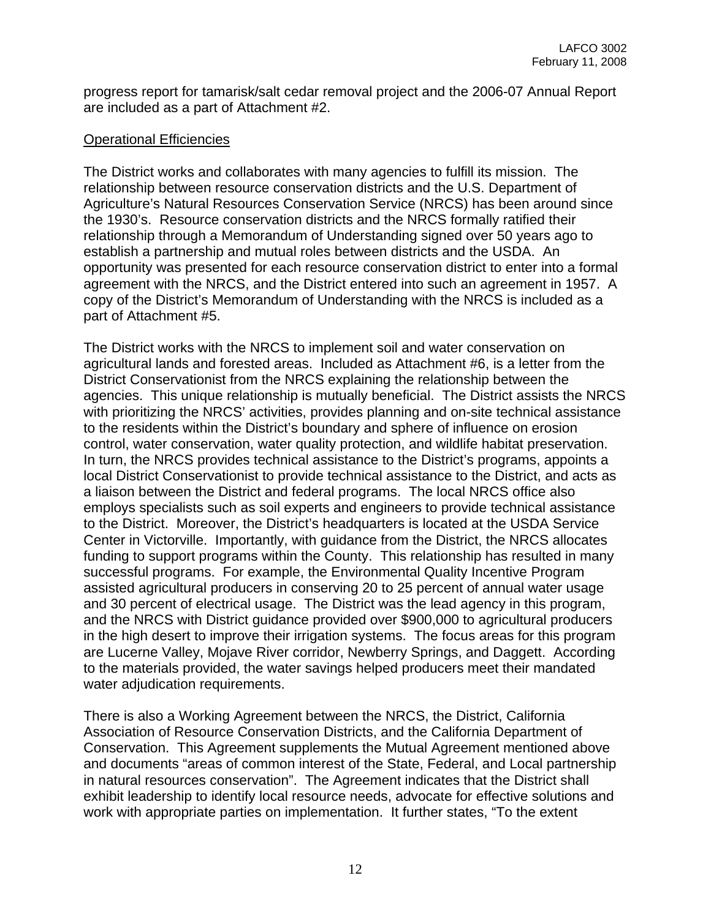progress report for tamarisk/salt cedar removal project and the 2006-07 Annual Report are included as a part of Attachment #2.

## Operational Efficiencies

The District works and collaborates with many agencies to fulfill its mission. The relationship between resource conservation districts and the U.S. Department of Agriculture's Natural Resources Conservation Service (NRCS) has been around since the 1930's. Resource conservation districts and the NRCS formally ratified their relationship through a Memorandum of Understanding signed over 50 years ago to establish a partnership and mutual roles between districts and the USDA. An opportunity was presented for each resource conservation district to enter into a formal agreement with the NRCS, and the District entered into such an agreement in 1957. A copy of the District's Memorandum of Understanding with the NRCS is included as a part of Attachment #5.

The District works with the NRCS to implement soil and water conservation on agricultural lands and forested areas. Included as Attachment #6, is a letter from the District Conservationist from the NRCS explaining the relationship between the agencies. This unique relationship is mutually beneficial. The District assists the NRCS with prioritizing the NRCS' activities, provides planning and on-site technical assistance to the residents within the District's boundary and sphere of influence on erosion control, water conservation, water quality protection, and wildlife habitat preservation. In turn, the NRCS provides technical assistance to the District's programs, appoints a local District Conservationist to provide technical assistance to the District, and acts as a liaison between the District and federal programs. The local NRCS office also employs specialists such as soil experts and engineers to provide technical assistance to the District. Moreover, the District's headquarters is located at the USDA Service Center in Victorville. Importantly, with guidance from the District, the NRCS allocates funding to support programs within the County. This relationship has resulted in many successful programs. For example, the Environmental Quality Incentive Program assisted agricultural producers in conserving 20 to 25 percent of annual water usage and 30 percent of electrical usage. The District was the lead agency in this program, and the NRCS with District guidance provided over \$900,000 to agricultural producers in the high desert to improve their irrigation systems. The focus areas for this program are Lucerne Valley, Mojave River corridor, Newberry Springs, and Daggett. According to the materials provided, the water savings helped producers meet their mandated water adjudication requirements.

There is also a Working Agreement between the NRCS, the District, California Association of Resource Conservation Districts, and the California Department of Conservation. This Agreement supplements the Mutual Agreement mentioned above and documents "areas of common interest of the State, Federal, and Local partnership in natural resources conservation". The Agreement indicates that the District shall exhibit leadership to identify local resource needs, advocate for effective solutions and work with appropriate parties on implementation. It further states, "To the extent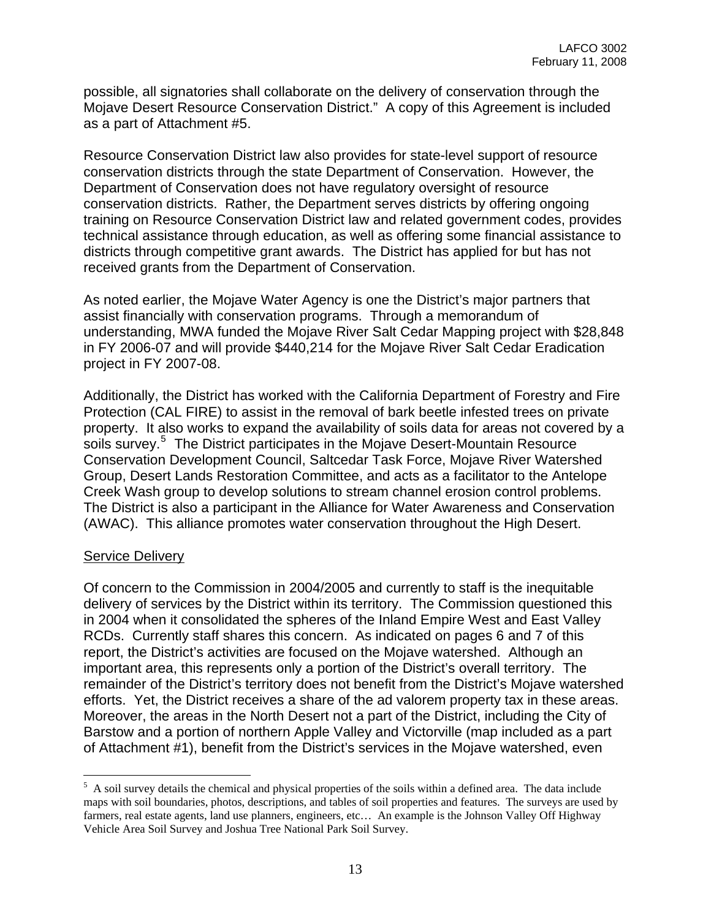possible, all signatories shall collaborate on the delivery of conservation through the Mojave Desert Resource Conservation District." A copy of this Agreement is included as a part of Attachment #5.

Resource Conservation District law also provides for state-level support of resource conservation districts through the state Department of Conservation. However, the Department of Conservation does not have regulatory oversight of resource conservation districts. Rather, the Department serves districts by offering ongoing training on Resource Conservation District law and related government codes, provides technical assistance through education, as well as offering some financial assistance to districts through competitive grant awards. The District has applied for but has not received grants from the Department of Conservation.

As noted earlier, the Mojave Water Agency is one the District's major partners that assist financially with conservation programs. Through a memorandum of understanding, MWA funded the Mojave River Salt Cedar Mapping project with \$28,848 in FY 2006-07 and will provide \$440,214 for the Mojave River Salt Cedar Eradication project in FY 2007-08.

Additionally, the District has worked with the California Department of Forestry and Fire Protection (CAL FIRE) to assist in the removal of bark beetle infested trees on private property. It also works to expand the availability of soils data for areas not covered by a soils survey.<sup>[5](#page-12-0)</sup> The District participates in the Mojave Desert-Mountain Resource Conservation Development Council, Saltcedar Task Force, Mojave River Watershed Group, Desert Lands Restoration Committee, and acts as a facilitator to the Antelope Creek Wash group to develop solutions to stream channel erosion control problems. The District is also a participant in the Alliance for Water Awareness and Conservation (AWAC). This alliance promotes water conservation throughout the High Desert.

#### Service Delivery

<u>.</u>

Of concern to the Commission in 2004/2005 and currently to staff is the inequitable delivery of services by the District within its territory. The Commission questioned this in 2004 when it consolidated the spheres of the Inland Empire West and East Valley RCDs. Currently staff shares this concern. As indicated on pages 6 and 7 of this report, the District's activities are focused on the Mojave watershed. Although an important area, this represents only a portion of the District's overall territory. The remainder of the District's territory does not benefit from the District's Mojave watershed efforts. Yet, the District receives a share of the ad valorem property tax in these areas. Moreover, the areas in the North Desert not a part of the District, including the City of Barstow and a portion of northern Apple Valley and Victorville (map included as a part of Attachment #1), benefit from the District's services in the Mojave watershed, even

<span id="page-12-0"></span> $<sup>5</sup>$  A soil survey details the chemical and physical properties of the soils within a defined area. The data include</sup> maps with soil boundaries, photos, descriptions, and tables of soil properties and features. The surveys are used by farmers, real estate agents, land use planners, engineers, etc… An example is the Johnson Valley Off Highway Vehicle Area Soil Survey and Joshua Tree National Park Soil Survey.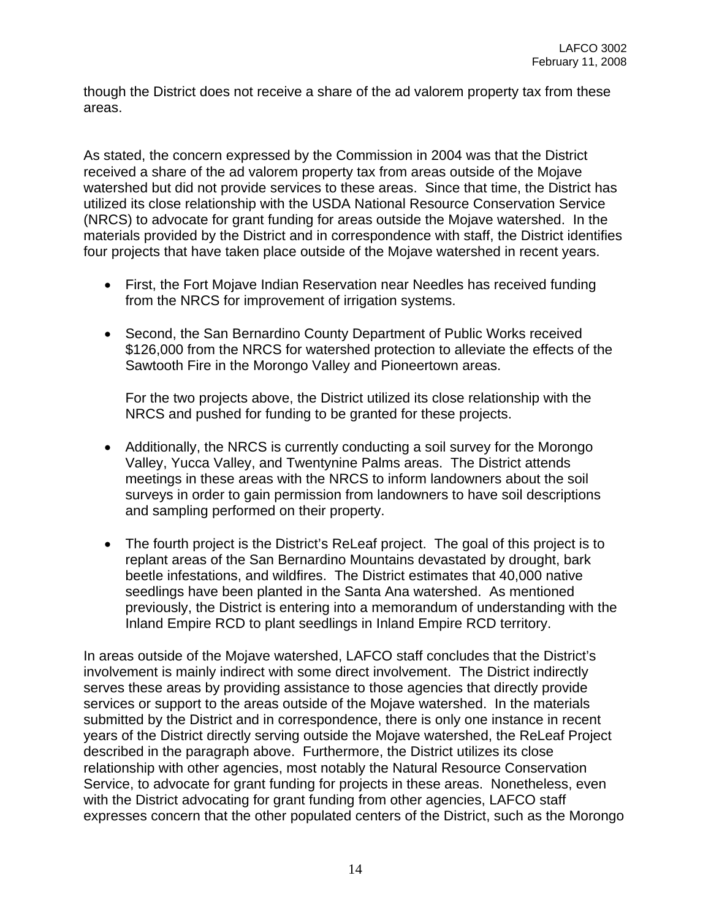though the District does not receive a share of the ad valorem property tax from these areas.

As stated, the concern expressed by the Commission in 2004 was that the District received a share of the ad valorem property tax from areas outside of the Mojave watershed but did not provide services to these areas. Since that time, the District has utilized its close relationship with the USDA National Resource Conservation Service (NRCS) to advocate for grant funding for areas outside the Mojave watershed. In the materials provided by the District and in correspondence with staff, the District identifies four projects that have taken place outside of the Mojave watershed in recent years.

- First, the Fort Mojave Indian Reservation near Needles has received funding from the NRCS for improvement of irrigation systems.
- Second, the San Bernardino County Department of Public Works received \$126,000 from the NRCS for watershed protection to alleviate the effects of the Sawtooth Fire in the Morongo Valley and Pioneertown areas.

For the two projects above, the District utilized its close relationship with the NRCS and pushed for funding to be granted for these projects.

- Additionally, the NRCS is currently conducting a soil survey for the Morongo Valley, Yucca Valley, and Twentynine Palms areas. The District attends meetings in these areas with the NRCS to inform landowners about the soil surveys in order to gain permission from landowners to have soil descriptions and sampling performed on their property.
- The fourth project is the District's ReLeaf project. The goal of this project is to replant areas of the San Bernardino Mountains devastated by drought, bark beetle infestations, and wildfires. The District estimates that 40,000 native seedlings have been planted in the Santa Ana watershed. As mentioned previously, the District is entering into a memorandum of understanding with the Inland Empire RCD to plant seedlings in Inland Empire RCD territory.

In areas outside of the Mojave watershed, LAFCO staff concludes that the District's involvement is mainly indirect with some direct involvement. The District indirectly serves these areas by providing assistance to those agencies that directly provide services or support to the areas outside of the Mojave watershed. In the materials submitted by the District and in correspondence, there is only one instance in recent years of the District directly serving outside the Mojave watershed, the ReLeaf Project described in the paragraph above. Furthermore, the District utilizes its close relationship with other agencies, most notably the Natural Resource Conservation Service, to advocate for grant funding for projects in these areas. Nonetheless, even with the District advocating for grant funding from other agencies, LAFCO staff expresses concern that the other populated centers of the District, such as the Morongo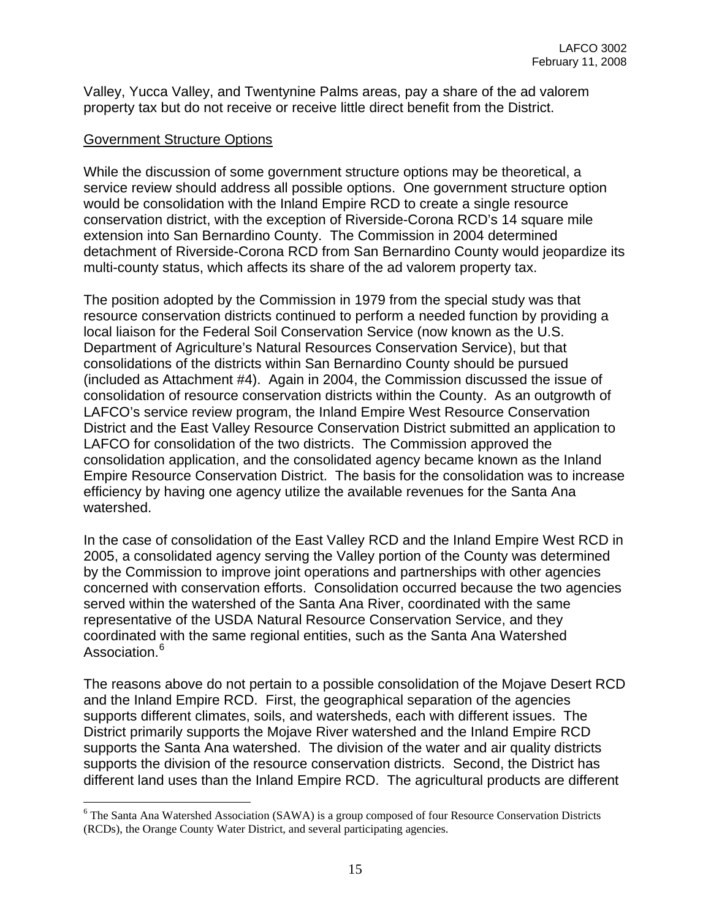Valley, Yucca Valley, and Twentynine Palms areas, pay a share of the ad valorem property tax but do not receive or receive little direct benefit from the District.

#### Government Structure Options

 $\overline{a}$ 

While the discussion of some government structure options may be theoretical, a service review should address all possible options. One government structure option would be consolidation with the Inland Empire RCD to create a single resource conservation district, with the exception of Riverside-Corona RCD's 14 square mile extension into San Bernardino County. The Commission in 2004 determined detachment of Riverside-Corona RCD from San Bernardino County would jeopardize its multi-county status, which affects its share of the ad valorem property tax.

The position adopted by the Commission in 1979 from the special study was that resource conservation districts continued to perform a needed function by providing a local liaison for the Federal Soil Conservation Service (now known as the U.S. Department of Agriculture's Natural Resources Conservation Service), but that consolidations of the districts within San Bernardino County should be pursued (included as Attachment #4). Again in 2004, the Commission discussed the issue of consolidation of resource conservation districts within the County. As an outgrowth of LAFCO's service review program, the Inland Empire West Resource Conservation District and the East Valley Resource Conservation District submitted an application to LAFCO for consolidation of the two districts. The Commission approved the consolidation application, and the consolidated agency became known as the Inland Empire Resource Conservation District. The basis for the consolidation was to increase efficiency by having one agency utilize the available revenues for the Santa Ana watershed.

In the case of consolidation of the East Valley RCD and the Inland Empire West RCD in 2005, a consolidated agency serving the Valley portion of the County was determined by the Commission to improve joint operations and partnerships with other agencies concerned with conservation efforts. Consolidation occurred because the two agencies served within the watershed of the Santa Ana River, coordinated with the same representative of the USDA Natural Resource Conservation Service, and they coordinated with the same regional entities, such as the Santa Ana Watershed Association.<sup>[6](#page-14-0)</sup>

The reasons above do not pertain to a possible consolidation of the Mojave Desert RCD and the Inland Empire RCD. First, the geographical separation of the agencies supports different climates, soils, and watersheds, each with different issues. The District primarily supports the Mojave River watershed and the Inland Empire RCD supports the Santa Ana watershed. The division of the water and air quality districts supports the division of the resource conservation districts. Second, the District has different land uses than the Inland Empire RCD. The agricultural products are different

<span id="page-14-0"></span><sup>&</sup>lt;sup>6</sup> The Santa Ana Watershed Association (SAWA) is a group composed of four Resource Conservation Districts (RCDs), the Orange County Water District, and several participating agencies.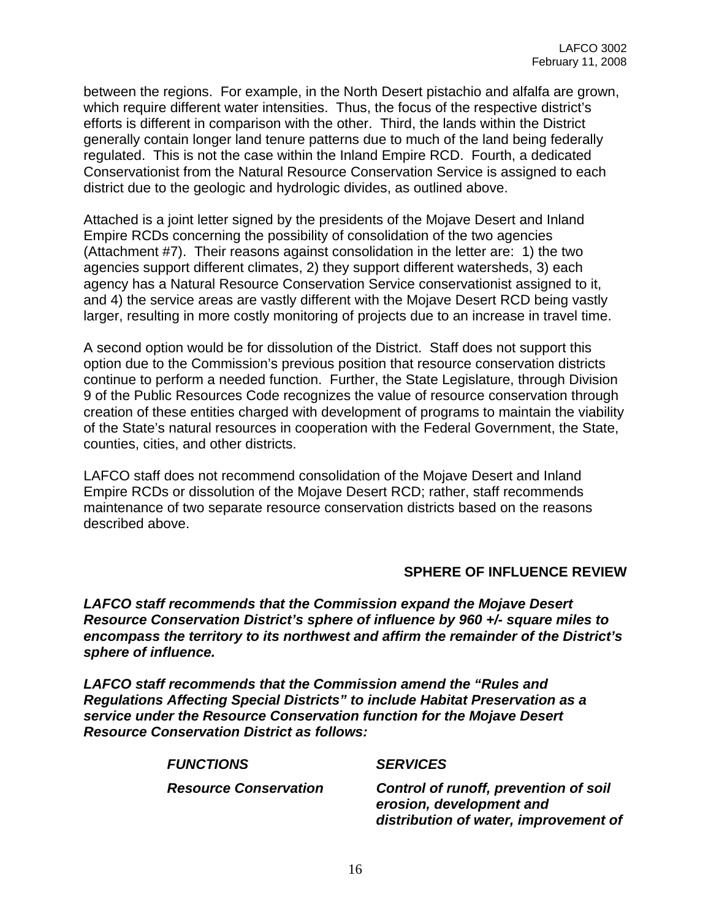between the regions. For example, in the North Desert pistachio and alfalfa are grown, which require different water intensities. Thus, the focus of the respective district's efforts is different in comparison with the other. Third, the lands within the District generally contain longer land tenure patterns due to much of the land being federally regulated. This is not the case within the Inland Empire RCD. Fourth, a dedicated Conservationist from the Natural Resource Conservation Service is assigned to each district due to the geologic and hydrologic divides, as outlined above.

Attached is a joint letter signed by the presidents of the Mojave Desert and Inland Empire RCDs concerning the possibility of consolidation of the two agencies (Attachment #7). Their reasons against consolidation in the letter are: 1) the two agencies support different climates, 2) they support different watersheds, 3) each agency has a Natural Resource Conservation Service conservationist assigned to it, and 4) the service areas are vastly different with the Mojave Desert RCD being vastly larger, resulting in more costly monitoring of projects due to an increase in travel time.

A second option would be for dissolution of the District. Staff does not support this option due to the Commission's previous position that resource conservation districts continue to perform a needed function. Further, the State Legislature, through Division 9 of the Public Resources Code recognizes the value of resource conservation through creation of these entities charged with development of programs to maintain the viability of the State's natural resources in cooperation with the Federal Government, the State, counties, cities, and other districts.

LAFCO staff does not recommend consolidation of the Mojave Desert and Inland Empire RCDs or dissolution of the Mojave Desert RCD; rather, staff recommends maintenance of two separate resource conservation districts based on the reasons described above.

#### **SPHERE OF INFLUENCE REVIEW**

*LAFCO staff recommends that the Commission expand the Mojave Desert Resource Conservation District's sphere of influence by 960 +/- square miles to encompass the territory to its northwest and affirm the remainder of the District's sphere of influence.*

*LAFCO staff recommends that the Commission amend the "Rules and Regulations Affecting Special Districts" to include Habitat Preservation as a service under the Resource Conservation function for the Mojave Desert Resource Conservation District as follows:* 

#### *FUNCTIONS SERVICES*

 *Resource Conservation Control of runoff, prevention of soil erosion, development and distribution of water, improvement of*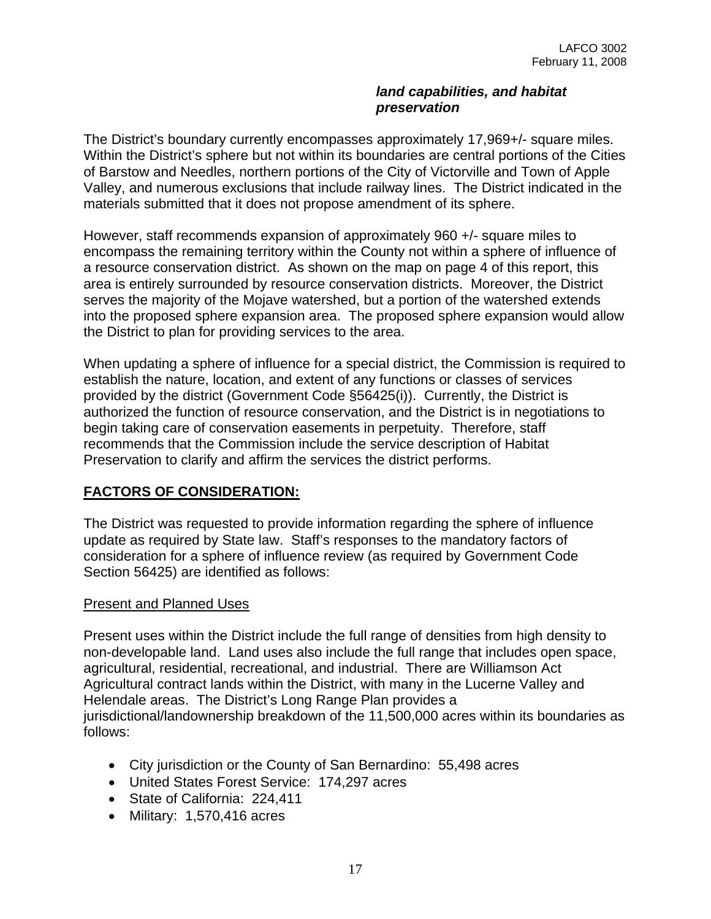#### *land capabilities, and habitat preservation*

The District's boundary currently encompasses approximately 17,969+/- square miles. Within the District's sphere but not within its boundaries are central portions of the Cities of Barstow and Needles, northern portions of the City of Victorville and Town of Apple Valley, and numerous exclusions that include railway lines. The District indicated in the materials submitted that it does not propose amendment of its sphere.

However, staff recommends expansion of approximately 960 +/- square miles to encompass the remaining territory within the County not within a sphere of influence of a resource conservation district. As shown on the map on page 4 of this report, this area is entirely surrounded by resource conservation districts. Moreover, the District serves the majority of the Mojave watershed, but a portion of the watershed extends into the proposed sphere expansion area. The proposed sphere expansion would allow the District to plan for providing services to the area.

When updating a sphere of influence for a special district, the Commission is required to establish the nature, location, and extent of any functions or classes of services provided by the district (Government Code §56425(i)). Currently, the District is authorized the function of resource conservation, and the District is in negotiations to begin taking care of conservation easements in perpetuity. Therefore, staff recommends that the Commission include the service description of Habitat Preservation to clarify and affirm the services the district performs.

## **FACTORS OF CONSIDERATION:**

The District was requested to provide information regarding the sphere of influence update as required by State law. Staff's responses to the mandatory factors of consideration for a sphere of influence review (as required by Government Code Section 56425) are identified as follows:

#### Present and Planned Uses

Present uses within the District include the full range of densities from high density to non-developable land. Land uses also include the full range that includes open space, agricultural, residential, recreational, and industrial. There are Williamson Act Agricultural contract lands within the District, with many in the Lucerne Valley and Helendale areas. The District's Long Range Plan provides a jurisdictional/landownership breakdown of the 11,500,000 acres within its boundaries as follows:

- City jurisdiction or the County of San Bernardino: 55,498 acres
- United States Forest Service: 174,297 acres
- State of California: 224,411
- Military: 1,570,416 acres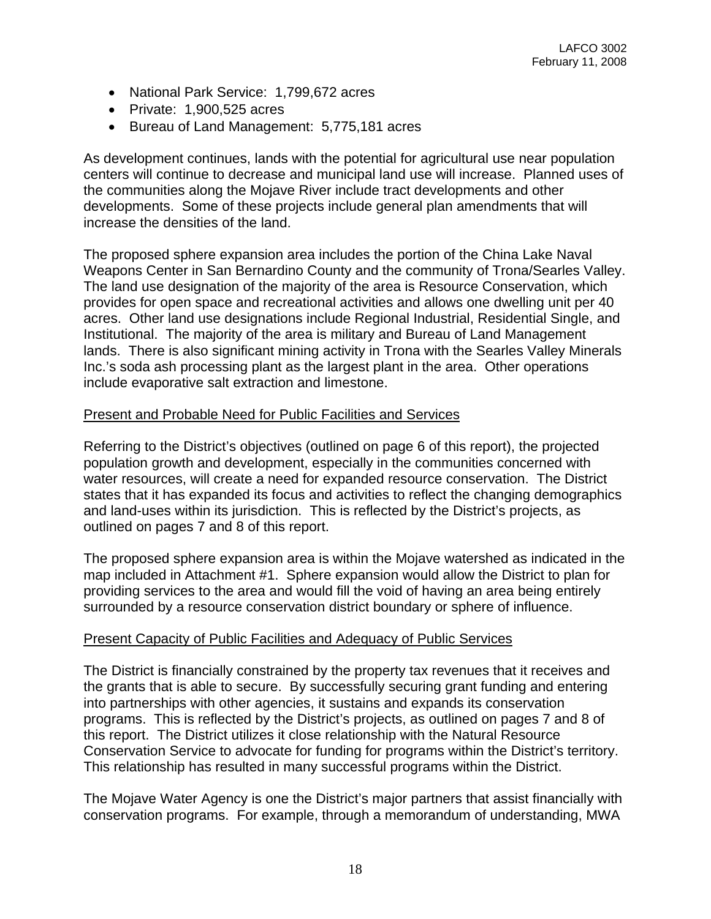- National Park Service: 1,799,672 acres
- Private: 1,900,525 acres
- Bureau of Land Management: 5,775,181 acres

As development continues, lands with the potential for agricultural use near population centers will continue to decrease and municipal land use will increase. Planned uses of the communities along the Mojave River include tract developments and other developments. Some of these projects include general plan amendments that will increase the densities of the land.

The proposed sphere expansion area includes the portion of the China Lake Naval Weapons Center in San Bernardino County and the community of Trona/Searles Valley. The land use designation of the majority of the area is Resource Conservation, which provides for open space and recreational activities and allows one dwelling unit per 40 acres. Other land use designations include Regional Industrial, Residential Single, and Institutional. The majority of the area is military and Bureau of Land Management lands. There is also significant mining activity in Trona with the Searles Valley Minerals Inc.'s soda ash processing plant as the largest plant in the area. Other operations include evaporative salt extraction and limestone.

#### Present and Probable Need for Public Facilities and Services

Referring to the District's objectives (outlined on page 6 of this report), the projected population growth and development, especially in the communities concerned with water resources, will create a need for expanded resource conservation. The District states that it has expanded its focus and activities to reflect the changing demographics and land-uses within its jurisdiction. This is reflected by the District's projects, as outlined on pages 7 and 8 of this report.

The proposed sphere expansion area is within the Mojave watershed as indicated in the map included in Attachment #1. Sphere expansion would allow the District to plan for providing services to the area and would fill the void of having an area being entirely surrounded by a resource conservation district boundary or sphere of influence.

#### Present Capacity of Public Facilities and Adequacy of Public Services

The District is financially constrained by the property tax revenues that it receives and the grants that is able to secure. By successfully securing grant funding and entering into partnerships with other agencies, it sustains and expands its conservation programs. This is reflected by the District's projects, as outlined on pages 7 and 8 of this report. The District utilizes it close relationship with the Natural Resource Conservation Service to advocate for funding for programs within the District's territory. This relationship has resulted in many successful programs within the District.

The Mojave Water Agency is one the District's major partners that assist financially with conservation programs. For example, through a memorandum of understanding, MWA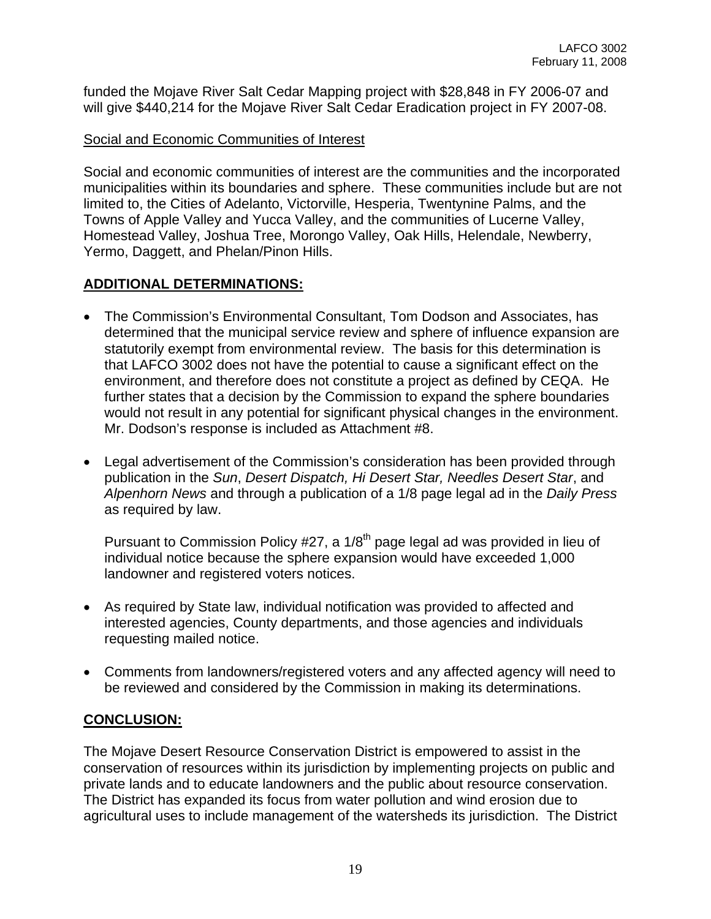funded the Mojave River Salt Cedar Mapping project with \$28,848 in FY 2006-07 and will give \$440,214 for the Mojave River Salt Cedar Eradication project in FY 2007-08.

## Social and Economic Communities of Interest

Social and economic communities of interest are the communities and the incorporated municipalities within its boundaries and sphere. These communities include but are not limited to, the Cities of Adelanto, Victorville, Hesperia, Twentynine Palms, and the Towns of Apple Valley and Yucca Valley, and the communities of Lucerne Valley, Homestead Valley, Joshua Tree, Morongo Valley, Oak Hills, Helendale, Newberry, Yermo, Daggett, and Phelan/Pinon Hills.

## **ADDITIONAL DETERMINATIONS:**

- The Commission's Environmental Consultant, Tom Dodson and Associates, has determined that the municipal service review and sphere of influence expansion are statutorily exempt from environmental review. The basis for this determination is that LAFCO 3002 does not have the potential to cause a significant effect on the environment, and therefore does not constitute a project as defined by CEQA. He further states that a decision by the Commission to expand the sphere boundaries would not result in any potential for significant physical changes in the environment. Mr. Dodson's response is included as Attachment #8.
- Legal advertisement of the Commission's consideration has been provided through publication in the *Sun*, *Desert Dispatch, Hi Desert Star, Needles Desert Star*, and *Alpenhorn News* and through a publication of a 1/8 page legal ad in the *Daily Press*  as required by law.

Pursuant to Commission Policy #27, a  $1/8<sup>th</sup>$  page legal ad was provided in lieu of individual notice because the sphere expansion would have exceeded 1,000 landowner and registered voters notices.

- As required by State law, individual notification was provided to affected and interested agencies, County departments, and those agencies and individuals requesting mailed notice.
- Comments from landowners/registered voters and any affected agency will need to be reviewed and considered by the Commission in making its determinations.

## **CONCLUSION:**

The Mojave Desert Resource Conservation District is empowered to assist in the conservation of resources within its jurisdiction by implementing projects on public and private lands and to educate landowners and the public about resource conservation. The District has expanded its focus from water pollution and wind erosion due to agricultural uses to include management of the watersheds its jurisdiction. The District